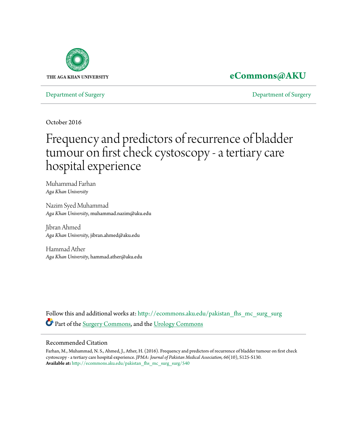

## **[eCommons@AKU](http://ecommons.aku.edu?utm_source=ecommons.aku.edu%2Fpakistan_fhs_mc_surg_surg%2F540&utm_medium=PDF&utm_campaign=PDFCoverPages)**

[Department of Surgery](http://ecommons.aku.edu/pakistan_fhs_mc_surg_surg?utm_source=ecommons.aku.edu%2Fpakistan_fhs_mc_surg_surg%2F540&utm_medium=PDF&utm_campaign=PDFCoverPages) [Department of Surgery](http://ecommons.aku.edu/pakistan_fhs_mc_surg?utm_source=ecommons.aku.edu%2Fpakistan_fhs_mc_surg_surg%2F540&utm_medium=PDF&utm_campaign=PDFCoverPages)

October 2016

# Frequency and predictors of recurrence of bladder tumour on first check cystoscopy - a tertiary care hospital experience

Muhammad Farhan *Aga Khan University*

Nazim Syed Muhammad *Aga Khan University*, muhammad.nazim@aku.edu

Jibran Ahmed *Aga Khan University*, jibran.ahmed@aku.edu

Hammad Ather *Aga Khan University*, hammad.ather@aku.edu

Follow this and additional works at: [http://ecommons.aku.edu/pakistan\\_fhs\\_mc\\_surg\\_surg](http://ecommons.aku.edu/pakistan_fhs_mc_surg_surg?utm_source=ecommons.aku.edu%2Fpakistan_fhs_mc_surg_surg%2F540&utm_medium=PDF&utm_campaign=PDFCoverPages) Part of the [Surgery Commons,](http://network.bepress.com/hgg/discipline/706?utm_source=ecommons.aku.edu%2Fpakistan_fhs_mc_surg_surg%2F540&utm_medium=PDF&utm_campaign=PDFCoverPages) and the [Urology Commons](http://network.bepress.com/hgg/discipline/707?utm_source=ecommons.aku.edu%2Fpakistan_fhs_mc_surg_surg%2F540&utm_medium=PDF&utm_campaign=PDFCoverPages)

#### Recommended Citation

Farhan, M., Muhammad, N. S., Ahmed, J., Ather, H. (2016). Frequency and predictors of recurrence of bladder tumour on first check cystoscopy - a tertiary care hospital experience. *JPMA: Journal of Pakistan Medical Association, 66*(10), S125-S130. **Available at:** [http://ecommons.aku.edu/pakistan\\_fhs\\_mc\\_surg\\_surg/540](http://ecommons.aku.edu/pakistan_fhs_mc_surg_surg/540)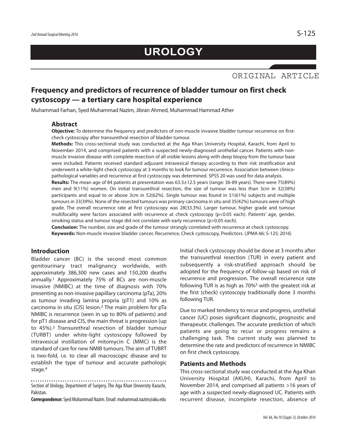### **Frequency and predictors of recurrence of bladder tumour on first check cystoscopy — a tertiary care hospital experience**

Muhammad Farhan, Syed Muhammad Nazim, Jibran Ahmed, Muhammad Hammad Ather

#### **Abstract**

**Objective:** To determine the frequency and predictors of non-muscle invasive bladder tumour recurrence on firstcheck cystoscopy after transurethral resection of bladder tumour.

**Methods:** This cross-sectional study was conducted at the Aga Khan University Hospital, Karachi, from April to November 2014, and comprised patients with a suspected newly-diagnosed urothelial cancer. Patients with nonmuscle invasive disease with complete resection of all visible lesions along with deep biopsy from the tumour base were included. Patients received standard adjuvant intravesical therapy according to their risk stratification and underwent a white-light check cystoscopy at 3 months to look for tumour recurrence. Association between clinicopathological variables and recurrence at first cystoscopy was determined. SPSS 20 was used for data analysis.

**Results:** The mean age of 84 patients at presentation was 63.3±12.5 years (range: 36-89 years). There were 75(89%) men and 9(11%) women. On initial transurethral resection, the size of tumour was less than 3cm in 32(38%) participants and equal to or above 3cm in 52(62%). Single tumour was found in 51(61%) subjects and multiple tumours in 33(39%). None of the resected tumours was primary carcinoma in situ and 35(42%) tumours were of high grade. The overall recurrence rate at first cystoscopy was 28(33.3%). Larger tumour, higher grade and tumour multifocality were factors associated with recurrence at check cystoscopy (p<0.05 each). Patients' age, gender, smoking status and tumour stage did not correlate with early recurrence (p>0.05 each).

**Conclusion:** The number, size and grade of the tumour strongly correlated with recurrence at check cystoscopy. **Keywords:** Non-muscle invasive bladder cancer, Recurrence, Check cystoscopy, Predictors. (JPMA 66: S-125; 2016)

#### **Introduction**

Bladder cancer (BC) is the second most common genitourinary tract malignancy worldwide, with approximately 386,300 new cases and 150,200 deaths annually. <sup>1</sup> Approximately 75% of BCs are non-muscle invasive (NMIBC) at the time of diagnosis with 70% presenting as non-invasive papillary carcinoma (pTa), 20% as tumour invading lamina propria (pT1) and 10% as carcinoma in situ (CIS) lesion. <sup>2</sup> The main problem for pTa NMIBC is recurrence (seen in up to 80% of patients) and for pT1 disease and CIS, the main threat is progression (up to 45%). <sup>3</sup> Transurethral resection of bladder tumour (TURBT) under white-light cystoscopy followed by intravesical instillation of mitomycin C (MMC) is the standard of care for new NMIB tumours. The aim of TUBRT is two-fold, i.e. to clear all macroscopic disease and to establish the type of tumour and accurate pathologic stage. 4

Section of Urology, Department of Surgery, The Aga Khan University Karachi, Pakistan.

**Correspondence:** Syed Muhammad Nazim. Email: muhammad.nazim@aku.edu

Initial check cystoscopy should be done at 3 months after the transurethral resection (TUR) in every patient and subsequently a risk-stratified approach should be adopted for the frequency of follow-up based on risk of recurrence and progression. The overall recurrence rate following TUR is as high as 70%5 with the greatest risk at the first (check) cystoscopy traditionally done 3 months following TUR.

Due to marked tendency to recur and progress, urothelial cancer (UC) poses significant diagnostic, prognostic and therapeutic challenges. The accurate prediction of which patients are going to recur or progress remains a challenging task. The current study was planned to determine the rate and predictors of recurrence in NMIBC on first check cystoscopy.

#### **Patients and Methods**

This cross-sectional study was conducted at the Aga Khan University Hospital (AKUH), Karachi, from April to November 2014, and comprised all patients >16 years of age with a suspected newly-diagnosed UC. Patients with recurrent disease, incomplete resection, absence of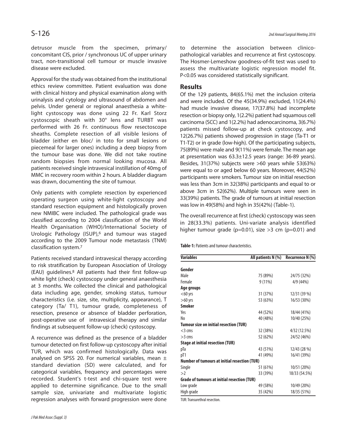detrusor muscle from the specimen, primary/ concomitant CIS, prior / synchronous UC of upper urinary tract, non-transitional cell tumour or muscle invasive disease were excluded.

Approval for the study was obtained from the institutional ethics review committee. Patient evaluation was done with clinical history and physical examination along with urinalysis and cytology and ultrasound of abdomen and pelvis. Under general or regional anaesthesia a whitelight cystoscopy was done using 22 Fr. Karl Storz cystoscopic sheath with 30° lens and TURBT was performed with 26 Fr. continuous flow resectoscope sheaths. Complete resection of all visible lesions of bladder (either en bloc/ in toto for small lesions or piecemeal for larger ones) including a deep biopsy from the tumour base was done. We did not take routine random biopsies from normal looking mucosa. All patients received single intravesical instillation of 40mg of MMC in recovery room within 2 hours. A bladder diagram was drawn, documenting the site of tumour.

Only patients with complete resection by experienced operating surgeon using white-light cystoscopy and standard resection equipment and histologically proven new NMIBC were included. The pathological grade was classified according to 2004 classification of the World Health Organisation (WHO)/International Society of Urologic Pathology (ISUP), <sup>6</sup> and tumour was staged according to the 2009 Tumour node metastasis (TNM) classification system. 7

Patients received standard intravesical therapy according to risk stratification by European Association of Urology (EAU) guidelines. <sup>8</sup> All patients had their first follow-up white light (check) cystoscopy under general anaesthesia at 3 months. We collected the clinical and pathological data including age, gender, smoking status, tumour characteristics (i.e. size, site, multiplicity, appearance), T category (Ta/ T1), tumour grade, completeness of resection, presence or absence of bladder perforation, post-operative use of intravesical therapy and similar findings at subsequent follow-up (check) cystoscopy.

A recurrence was defined as the presence of a bladder tumour detected on first follow-up cystoscopy after initial TUR, which was confirmed histologically. Data was analysed on SPSS 20. For numerical variables, mean  $\pm$ standard deviation (SD) were calculated, and for categorical variables, frequency and percentages were recorded. Student's t-test and chi-square test were applied to determine significance. Due to the small sample size, univariate and multivariate logistic regression analyses with forward progression were done to determine the association between clinicopathological variables and recurrence at first cystoscopy. The Hosmer-Lemeshow goodness-of-fit test was used to assess the multivariate logistic regression model fit. P<0.05 was considered statistically significant.

#### **Results**

Of the 129 patients, 84(65.1%) met the inclusion criteria and were included. Of the 45(34.9%) excluded, 11(24.4%) had muscle invasive disease, 17(37.8%) had incomplete resection or biopsy only, 1(2.2%) patient had squamous cell carcinoma (SCC) and 1(2.2%) had adenocarcinoma, 3(6.7%) patients missed follow-up at check cystoscopy, and 12(26.7%) patients showed progression in stage (Ta-T1 or T1-T2) or in grade (low-high). Of the participating subjects, 75(89%) were male and 9(11%) were female. The mean age at presentation was 63.3±12.5 years (range: 36-89 years). Besides, 31(37%) subjects were >60 years while 53(63%) were equal to or aged below 60 years. Moreover, 44(52%) participants were smokers. Tumour size on initial resection was less than 3cm in 32(38%) participants and equal to or above 3cm in 52(62%). Multiple tumours were seen in 33(39%) patients. The grade of tumours at initial resection was low in 49(58%) and high in 35(42%) (Table-1).

The overall recurrence at first (check) cystoscopy was seen in 28(33.3%) patients. Uni-variate analysis identified higher tumour grade ( $p=0.01$ ), size >3 cm ( $p=0.01$ ) and

**Table-1:** Patients and tumour characteristics.

| <b>Variables</b>                                    | All patients N (%) | Recurrence N (%) |
|-----------------------------------------------------|--------------------|------------------|
| Gender                                              |                    |                  |
| Male                                                | 75 (89%)           | 24/75 (32%)      |
| Female                                              | $9(11\%)$          | 4/9 (44%)        |
| Age groups                                          |                    |                  |
| $<$ 60 yrs                                          | 31 (37%)           | 12/31 (39 %)     |
| $>60$ yrs                                           | 53 (63%)           | 16/53 (30%)      |
| <b>Smoker</b>                                       |                    |                  |
| Yes                                                 | 44 (52%)           | 18/44 (41%)      |
| No                                                  | 40 (48%)           | 10/40 (25%)      |
| <b>Tumour size on initial resection (TUR)</b>       |                    |                  |
| $<$ 3 cms                                           | 32 (38%)           | 4/32 (12.5%)     |
| $>3$ cms                                            | 52 (62%)           | 24/52 (46%)      |
| <b>Stage at initial resection (TUR)</b>             |                    |                  |
| pTa                                                 | 43 (51%)           | 12/43 (28 %)     |
| pT1                                                 | 41 (49%)           | 16/41 (39%)      |
| <b>Number of tumours at initial resection (TUR)</b> |                    |                  |
| Single                                              | 51 (61%)           | 10/51 (20%)      |
| >2                                                  | 33 (39%)           | 18/33 (54.5%)    |
| Grade of tumours at initial resection (TUR)         |                    |                  |
| Low grade                                           | 49 (58%)           | 10/49 (20%)      |
| High grade                                          | 35 (42%)           | 18/35 (51%)      |

TUR:Transurethral resection.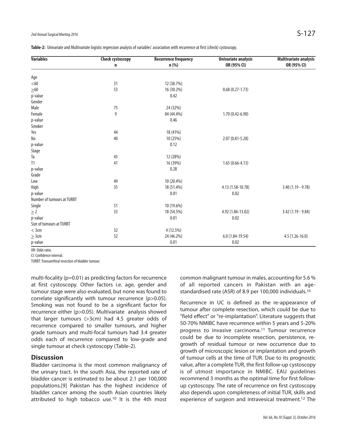Table-2: Univariate and Multivariate logistic regression analysis of variables' association with recurrence at first (check) cystoscopy.

| <b>Variables</b>           | <b>Check cystoscopy</b> | <b>Recurrence frequency</b> | <b>Univariate analysis</b> | Multivariate analysis |
|----------------------------|-------------------------|-----------------------------|----------------------------|-----------------------|
|                            | n                       | $n$ (%)                     | OR (95% CI)                | OR (95% CI)           |
| Age                        |                         |                             |                            |                       |
| < 60                       | 31                      | 12 (38.7%)                  |                            |                       |
| $\geq 60$                  | 53                      | 16 (30.2%)                  | $0.68(0.27-1.73)$          |                       |
| p-value                    |                         | 0.42                        |                            |                       |
| Gender                     |                         |                             |                            |                       |
| Male                       | $75\,$                  | 24 (32%)                    |                            |                       |
| Female                     | 9                       | 04 (44.4%)                  | $1.70(0.42 - 6.90)$        |                       |
| p-value                    |                         | 0.46                        |                            |                       |
| Smoker                     |                         |                             |                            |                       |
| Yes                        | 44                      | 18 (41%)                    |                            |                       |
| N <sub>o</sub>             | 40                      | 10 (25%)                    | $2.07(0.81 - 5.28)$        |                       |
| p-value                    |                         | 0.12                        |                            |                       |
| Stage                      |                         |                             |                            |                       |
| Ta                         | 43                      | 12 (28%)                    |                            |                       |
| T1                         | 41                      | 16 (39%)                    | $1.65(0.66 - 4.13)$        |                       |
| p-value                    |                         | 0.28                        |                            |                       |
| Grade                      |                         |                             |                            |                       |
| Low                        | 49                      | 10 (20.4%)                  |                            |                       |
| High                       | 35                      | 18 (51.4%)                  | 4.13 (1.58-10.78)          | $3.40(1.19 - 9.78)$   |
| p-value                    |                         | 0.01                        | 0.02                       |                       |
| Number of tumours at TURBT |                         |                             |                            |                       |
| Single                     | 51                      | 10 (19.6%)                  |                            |                       |
| $\geq$ 2                   | 33                      | 18 (54.5%)                  | 4.92 (1.86-13.02)          | $3.42(1.19 - 9.84)$   |
| p-value                    |                         | 0.01                        | 0.02                       |                       |
| Size of tumours at TURBT   |                         |                             |                            |                       |
| $<$ 3 $cm$                 | 32                      | 4 (12.5%)                   |                            |                       |
| $\geq$ 3cm                 | 52                      | 24 (46.2%)                  | $6.0(1.84-19.54)$          | $4.5(1.26-16.0)$      |
| p-value                    |                         | 0.01                        | 0.02                       |                       |

OR: Odds ratio.

CI: Confidence interval.

TURBT: Transurethral resection of bladder tumour.

multi-focality (p=0.01) as predicting factors for recurrence at first cystoscopy. Other factors i.e. age, gender and tumour stage were also evaluated, but none was found to correlate significantly with tumour recurrence (p>0.05). Smoking was not found to be a significant factor for recurrence either (p>0.05). Multivariate analysis showed that larger tumours (>3cm) had 4.5 greater odds of recurrence compared to smaller tumours, and higher grade tumours and multi-focal tumours had 3.4 greater odds each of recurrence compared to low-grade and single tumour at check cystoscopy (Table-2).

#### **Discussion**

Bladder carcinoma is the most common malignancy of the urinary tract. In the south Asia, the reported rate of bladder cancer is estimated to be about 2.1 per 100,000 populations.[9] Pakistan has the highest incidence of bladder cancer among the south Asian countries likely attributed to high tobacco use. <sup>10</sup> It is the 4th most

common malignant tumour in males, accounting for 5.6 % of all reported cancers in Pakistan with an agestandardised rate (ASR) of 8.9 per 100,000 individuals. 10

Recurrence in UC is defined as the re-appearance of tumour after complete resection, which could be due to "field effect" or "re-implantation". Literature suggests that 50-70% NMIBC have recurrence within 5 years and 5-20% progress to invasive carcinoma. <sup>11</sup> Tumour recurrence could be due to incomplete resection, persistence, regrowth of residual tumour or new occurrence due to growth of microscopic lesion or implantation and growth of tumour cells at the time of TUR. Due to its prognostic value, after a complete TUR, the first follow-up cystoscopy is of utmost importance in NMIBC. EAU guidelines recommend 3 months as the optimal time for first followup cystoscopy. The rate of recurrence on first cystoscopy also depends upon completeness of initial TUR, skills and experience of surgeon and intravesical treatment. <sup>12</sup> The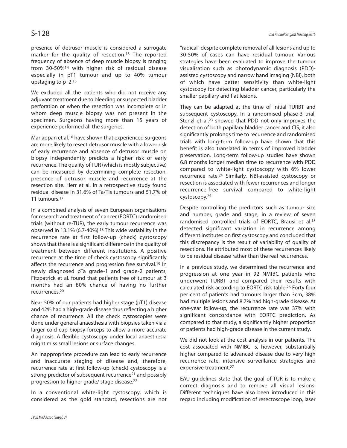presence of detrusor muscle is considered a surrogate marker for the quality of resection. 13 The reported frequency of absence of deep muscle biopsy is ranging from 30-50%14 with higher risk of residual disease especially in pT1 tumour and up to 40% tumour upstaging to pT2. 15

We excluded all the patients who did not receive any adjuvant treatment due to bleeding or suspected bladder perforation or when the resection was incomplete or in whom deep muscle biopsy was not present in the specimen. Surgeons having more than 15 years of experience performed all the surgeries.

Mariappan et al.<sup>16</sup> have shown that experienced surgeons are more likely to resect detrusor muscle with a lower risk of early recurrence and absence of detrusor muscle on biopsy independently predicts a higher risk of early recurrence. The quality of TUR (which is mostly subjective) can be measured by determining complete resection, presence of detrusor muscle and recurrence at the resection site. Herr et al. in a retrospective study found residual disease in 31.6% of Ta/Tis tumours and 51.7% of T1 tumours. 17

In a combined analysis of seven European organisations for research and treatment of cancer (EORTC) randomised trials (without re-TUR), the early tumour recurrence was observed in 13.1% (6.7-40%). <sup>18</sup> This wide variability in the recurrence rate at first follow-up (check) cystoscopy shows that there is a significant difference in the quality of treatment between different institutions. A positive recurrence at the time of check cystoscopy significantly affects the recurrence and progression free survival.<sup>19</sup> In newly diagnosed pTa grade-1 and grade-2 patients, Fitzpatrick et al. found that patients free of tumour at 3 months had an 80% chance of having no further recurrences. 20

Near 50% of our patients had higher stage (pT1) disease and 42% had a high-grade disease thus reflecting a higher chance of recurrence. All the check cystoscopies were done under general anaesthesia with biopsies taken via a larger cold cup biopsy forceps to allow a more accurate diagnosis. A flexible cystoscopy under local anaesthesia might miss small lesions or surface changes.

An inappropriate procedure can lead to early recurrence and inaccurate staging of disease and, therefore, recurrence rate at first follow-up (check) cystoscopy is a strong predictor of subsequent recurrence<sup>21</sup> and possibly progression to higher grade/ stage disease. 22

In a conventional white-light cystoscopy, which is considered as the gold standard, resections are not

"radical" despite complete removal of all lesions and up to 30-50% of cases can have residual tumour. Various strategies have been evaluated to improve the tumour visualisation such as photodynamic diagnosis (PDD) assisted cystoscopy and narrow band imaging (NBI), both of which have better sensitivity than white-light cystoscopy for detecting bladder cancer, particularly the smaller papillary and flat lesions.

They can be adapted at the time of initial TURBT and subsequent cystoscopy. In a randomised phase-3 trial, Stenzl et al. <sup>23</sup> showed that PDD not only improves the detection of both papillary bladder cancer and CIS, it also significantly prolongs time to recurrence and randomised trials with long-term follow-up have shown that this benefit is also translated in terms of improved bladder preservation. Long-term follow-up studies have shown 6.8 months longer median time to recurrence with PDD compared to white-light cystoscopy with 6% lower recurrence rate. <sup>24</sup> Similarly, NBI-assisted cystoscopy or resection is associated with fewer recurrences and longer recurrence-free survival compared to white-light cystoscopy. 25

Despite controlling the predictors such as tumour size and number, grade and stage, in a review of seven randomised controlled trials of EORTC, Brausi et al.<sup>18</sup> detected significant variation in recurrence among different institutes on first cystoscopy and concluded that this discrepancy is the result of variability of quality of resections. He attributed most of these recurrences likely to be residual disease rather than the real recurrences.

In a previous study, we determined the recurrence and progression at one year in 92 NMIBC patients who underwent TURBT and compared their results with calculated risk according to EORTC risk table. <sup>26</sup> Forty four per cent of patients had tumours larger than 3cm, 38% had multiple lesions and 8.7% had high-grade disease. At one-year follow-up, the recurrence rate was 37% with significant concordance with EORTC prediction. As compared to that study, a significantly higher proportion of patients had high-grade disease in the current study.

We did not look at the cost analysis in our patients. The cost associated with NMIBC is, however, substantially higher compared to advanced disease due to very high recurrence rate, intensive surveillance strategies and expensive treatment. 27

EAU guidelines state that the goal of TUR is to make a correct diagnosis and to remove all visual lesions. Different techniques have also been introduced in this regard including modification of resectoscope loop, laser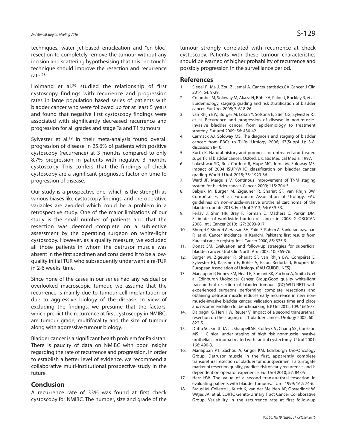techniques, water jet-based enucleation and "en-bloc" resection to completely remove the tumour without any incision and scattering hypothesising that this "no touch" technique should improve the resection and recurrence rate. 28

Holmang et al.<sup>29</sup> studied the relationship of first cystoscopy findings with recurrence and progression rates in large population based series of patients with bladder cancer who were followed up for at least 5 years and found that negative first cystoscopy findings were associated with significantly decreased recurrence and progression for all grades and stage Ta and T1 tumours.

Sylvester et al.<sup>19</sup> in their meta-analysis found overall progression of disease in 25.6% of patients with positive cystoscopy (recurrence) at 3 months compared to only 8.7% progression in patients with negative 3 months cystoscopy. This confers that the findings of check cystoscopy are a significant prognostic factor on time to progression of disease.

Our study is a prospective one, which is the strength as various biases like cystoscopy findings, and pre-operative variables are avoided which could be a problem in a retrospective study. One of the major limitations of our study is the small number of patients and that the resection was deemed complete on a subjective assessment by the operating surgeon on white-light cystoscopy. However, as a quality measure, we excluded all those patients in whom the detrusor muscle was absent in the first specimen and considered it to be a lowquality initial TUR who subsequently underwent a re-TUR in 2-6 weeks' time.

Since none of the cases in our series had any residual or overlooked macroscopic tumour, we assume that the recurrence is mainly due to tumour cell implantation or due to aggressive biology of the disease. In view of excluding the findings, we presume that the factors, which predict the recurrence at first cystoscopy in NMIBC, are tumour grade, multifocality and the size of tumour along with aggressive tumour biology.

Bladder cancer is a significant health problem for Pakistan. There is paucity of data on NMIBC with poor insight regarding the rate of recurrence and progression. In order to establish a better level of evidence, we recommend a collaborative multi-institutional prospective study in the future.

#### **Conclusion**

A recurrence rate of 33% was found at first check cystoscopy for NMIBC. The number, size and grade of the tumour strongly correlated with recurrence at check cystoscopy. Patients with these tumour characteristics should be warned of higher probability of recurrence and possibly progression in the surveillance period.

#### **References**

- 1. Siegel R, Ma J, Zou Z, Jemal A. Cancer statistics.CA Cancer J Clin 2014; 64: 9-29.
- 2. Colombel M, Soloway M, Akaza H, Böhle A, Palou J, Buckley R, et al. Epidemiology, staging, grading and risk stratification of bladder cancer. Eur Urol 2008; 7: 618-26
- 3. van Rhijn BW, Burger M, Lotan Y, Solsona E, Stief CG, Sylvester RJ, et al. Recurrence and progression of disease in non-muscleinvasive bladder cancer: from epidemiology to treatment strategy. Eur urol 2009; 56: 430-42.
- 4. Carmack AJ, Soloway MS. The diagnosis and staging of bladder cancer: from RBCs to TURs. Urology 2006; 67(Suppl 1): 3-8, discussion 8-10.
- 5. Kurth K. Natural history and prognosis of untreated and treated superficial bladder cancer. Oxford, UK: Isis Medical Media; 1997.
- 6. Lokeshwar SD, Ruiz-Cordero R, Hupe MC, Jorda M, Soloway MS. Impact of 2004 ISUP/WHO classification on bladder cancer grading. World J Urol. 2015; 33: 1929-36.
- 7. Ward JF, Margulis V. Continous improvement of TNM staging system for bladder cancer. Cancer. 2009; 115: 704-5.
- 8. Babjuk M, Burger M, Zigeuner R, Shariat SF, van Rhijn BW, Compérat E, et al; European Association of Urology. EAU guidelines on non-muscle-invasive urothelial carcinoma of the bladder: update 2013. Eur Urol 2013; 64: 639-53.
- 9. Ferlay J, Shin HR, Bray F, Forman D, Mathers C, Parkin DM. Estimates of worldwide burden of cancer in 2008: GLOBOCAN 2008. Int J Cancer 2010; 127: 2893-917.
- 10. Bhurgri Y, Bhurgri A, Hassan SH, Zaidi S, Rahim A, Sankaranarayanan R, et al. Cancer incidence in Karachi, Pakistan: first results from Karachi cancer registry. Int J Cancer 2000; 85: 325-9.
- 11. Donat SM. Evaluation and follow-up strategies for superficial bladder cancer. Urol Clin North Am 2003; 10: 765-76.
- 12. Burger M, Zigeuner R, Shariat SF, van Rhijn BW, Compérat E, Sylvester RJ, Kaasinen E, Böhle A, Palou Redorta J, Rouprêt M; European Association of Urology. (EAU GUIDELINES)
- 13. Mariappan P, Finney SM, Head E, Somani BK, Zachou A, Smith G, et al; Edinburgh Urological Cancer Group.Good quality white-light transurethral resection of bladder tumours (GQ-WLTURBT) with experienced surgeons performing complete resections and obtaining detrusor muscle reduces early recurrence in new nonmuscle-invasive bladder cancer: validation across time and place and recommendation for benchmarking. BJU Int 2012; 109: 1666-73.
- 14. Dalbagni G, Herr HW, Reuter V. Impact of a second transurethral resection on the staging of T1 bladder cancer. Urology 2002; 60 : 822-5.
- 15. Dutta SC, Smith JA Jr , Shappell SB , Coffey CS , Chang SS , Cookson MS . Clinical under staging of high risk nonmuscle invasive urothelial carcinoma treated with radical cystectomy. J Urol 2001; 166: 490-3.
- 16. Mariappan P1, Zachou A, Grigor KM; Edinburgh Uro-Oncology Group. Detrusor muscle in the first, apparently complete transurethral resection of bladder tumour specimen is a surrogate marker of resection quality, predicts risk of early recurrence, and is dependent on operator experience. Eur Urol 2010; 57: 843-9.
- 17. Herr HW. The value of a second transurethral resection in evaluating patients with bladder tumours. J Urol 1999; 162: 74-6.
- 18. Brausi M, Collette L, Kurth K, van der Meijden AP, Oosterlinck W, Witjes JA, et al; EORTC Genito-Urinary Tract Cancer Collaborative Group. Variability in the recurrence rate at first follow-up